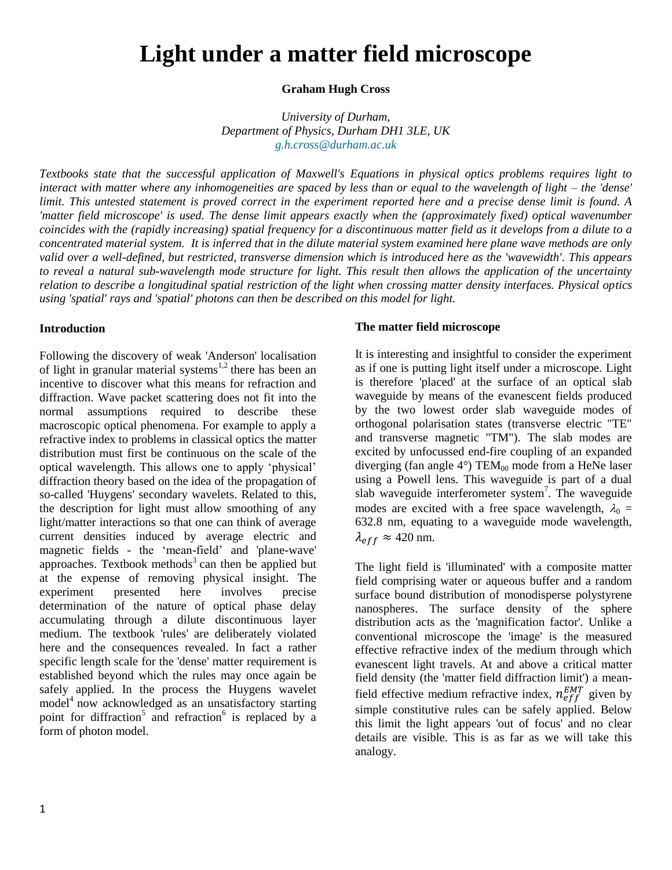# **Light under a matter field microscope**

# **Graham Hugh Cross**

*University of Durham, Department of Physics, Durham DH1 3LE, UK [g.h.cross@durham.ac.uk](mailto:g.h.cross@durham.ac.uk)*

*Textbooks state that the successful application of Maxwell's Equations in physical optics problems requires light to interact with matter where any inhomogeneities are spaced by less than or equal to the wavelength of light – the 'dense' limit. This untested statement is proved correct in the experiment reported here and a precise dense limit is found. A 'matter field microscope' is used. The dense limit appears exactly when the (approximately fixed) optical wavenumber coincides with the (rapidly increasing) spatial frequency for a discontinuous matter field as it develops from a dilute to a concentrated material system. It is inferred that in the dilute material system examined here plane wave methods are only valid over a well-defined, but restricted, transverse dimension which is introduced here as the 'wavewidth'. This appears to reveal a natural sub-wavelength mode structure for light. This result then allows the application of the uncertainty relation to describe a longitudinal spatial restriction of the light when crossing matter density interfaces. Physical optics using 'spatial' rays and 'spatial' photons can then be described on this model for light.*

# **Introduction**

Following the discovery of weak 'Anderson' localisation of light in granular material systems $1,2$  there has been an incentive to discover what this means for refraction and diffraction. Wave packet scattering does not fit into the normal assumptions required to describe these macroscopic optical phenomena. For example to apply a refractive index to problems in classical optics the matter distribution must first be continuous on the scale of the optical wavelength. This allows one to apply 'physical' diffraction theory based on the idea of the propagation of so-called 'Huygens' secondary wavelets. Related to this, the description for light must allow smoothing of any light/matter interactions so that one can think of average current densities induced by average electric and magnetic fields - the 'mean-field' and 'plane-wave' approaches. Textbook methods<sup>3</sup> can then be applied but at the expense of removing physical insight. The experiment presented here involves precise determination of the nature of optical phase delay accumulating through a dilute discontinuous layer medium. The textbook 'rules' are deliberately violated here and the consequences revealed. In fact a rather specific length scale for the 'dense' matter requirement is established beyond which the rules may once again be safely applied. In the process the Huygens wavelet model<sup>4</sup> now acknowledged as an unsatisfactory starting point for diffraction<sup>5</sup> and refraction<sup>6</sup> is replaced by a form of photon model.

# **The matter field microscope**

It is interesting and insightful to consider the experiment as if one is putting light itself under a microscope. Light is therefore 'placed' at the surface of an optical slab waveguide by means of the evanescent fields produced by the two lowest order slab waveguide modes of orthogonal polarisation states (transverse electric "TE" and transverse magnetic "TM"). The slab modes are excited by unfocussed end-fire coupling of an expanded diverging (fan angle  $4^{\circ}$ ) TEM<sub>00</sub> mode from a HeNe laser using a Powell lens. This waveguide is part of a dual slab waveguide interferometer system<sup>7</sup>. The waveguide modes are excited with a free space wavelength,  $\lambda_0 =$ 632.8 nm, equating to a waveguide mode wavelength,  $\lambda_{eff} \approx 420$  nm.

The light field is 'illuminated' with a composite matter field comprising water or aqueous buffer and a random surface bound distribution of monodisperse polystyrene nanospheres. The surface density of the sphere distribution acts as the 'magnification factor'. Unlike a conventional microscope the 'image' is the measured effective refractive index of the medium through which evanescent light travels. At and above a critical matter field density (the 'matter field diffraction limit') a meanfield effective medium refractive index,  $n_{eff}^{EMT}$  given by simple constitutive rules can be safely applied. Below this limit the light appears 'out of focus' and no clear details are visible. This is as far as we will take this analogy.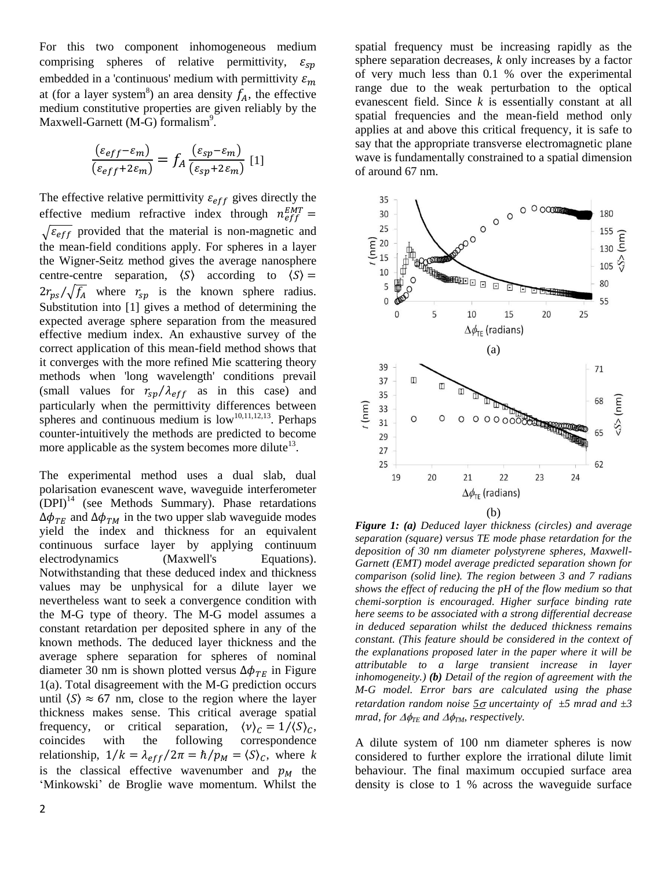For this two component inhomogeneous medium comprising spheres of relative permittivity,  $\varepsilon_{sn}$ embedded in a 'continuous' medium with permittivity  $\varepsilon_m$ at (for a layer system<sup>8</sup>) an area density  $f_A$ , the effective medium constitutive properties are given reliably by the Maxwell-Garnett (M-G) formalism<sup>9</sup>.

$$
\frac{(\varepsilon_{eff} - \varepsilon_m)}{(\varepsilon_{eff} + 2\varepsilon_m)} = f_A \frac{(\varepsilon_{sp} - \varepsilon_m)}{(\varepsilon_{sp} + 2\varepsilon_m)} [1]
$$

The effective relative permittivity  $\varepsilon_{eff}$  gives directly the effective medium refractive index through  $n_e^E$  $\sqrt{\varepsilon_{eff}}$  provided that the material is non-magnetic and the mean-field conditions apply. For spheres in a layer the Wigner-Seitz method gives the average nanosphere centre-centre separation,  $\langle S \rangle$  according to  $\langle S \rangle$  =  $2r_{ps}/\sqrt{f_A}$  where  $r_{sp}$  is the known sphere radius. Substitution into [1] gives a method of determining the expected average sphere separation from the measured effective medium index. An exhaustive survey of the correct application of this mean-field method shows that it converges with the more refined Mie scattering theory methods when 'long wavelength' conditions prevail (small values for  $r_{sp}/\lambda_{eff}$  as in this case) and particularly when the permittivity differences between spheres and continuous medium is  $low^{10,11,12,13}$ . Perhaps counter-intuitively the methods are predicted to become more applicable as the system becomes more dilute $13$ .

The experimental method uses a dual slab, dual polarisation evanescent wave, waveguide interferometer  $(DPI)<sup>14</sup>$  (see Methods Summary). Phase retardations  $\Delta\phi_{TE}$  and  $\Delta\phi_{TM}$  in the two upper slab waveguide modes yield the index and thickness for an equivalent continuous surface layer by applying continuum electrodynamics (Maxwell's Equations). Notwithstanding that these deduced index and thickness values may be unphysical for a dilute layer we nevertheless want to seek a convergence condition with the M-G type of theory. The M-G model assumes a constant retardation per deposited sphere in any of the known methods. The deduced layer thickness and the average sphere separation for spheres of nominal diameter 30 nm is shown plotted versus  $\Delta \phi_{TE}$  in Figure 1(a). Total disagreement with the M-G prediction occurs until  $\langle S \rangle \approx 67$  nm, close to the region where the layer thickness makes sense. This critical average spatial frequency, or critical separation,  $\langle v \rangle_c = 1/\langle S \rangle_c$ , coincides with the following correspondence relationship,  $1/k = \lambda_{eff}/2\pi = \hbar/p_M = \langle S \rangle_C$ , where k is the classical effective wavenumber and  $p<sub>M</sub>$  the 'Minkowski' de Broglie wave momentum. Whilst the

spatial frequency must be increasing rapidly as the sphere separation decreases, *k* only increases by a factor of very much less than 0.1 % over the experimental range due to the weak perturbation to the optical evanescent field. Since *k* is essentially constant at all spatial frequencies and the mean-field method only applies at and above this critical frequency, it is safe to say that the appropriate transverse electromagnetic plane wave is fundamentally constrained to a spatial dimension of around 67 nm.



*Figure 1: (a) Deduced layer thickness (circles) and average separation (square) versus TE mode phase retardation for the deposition of 30 nm diameter polystyrene spheres, Maxwell-Garnett (EMT) model average predicted separation shown for comparison (solid line). The region between 3 and 7 radians shows the effect of reducing the pH of the flow medium so that chemi-sorption is encouraged. Higher surface binding rate here seems to be associated with a strong differential decrease in deduced separation whilst the deduced thickness remains constant. (This feature should be considered in the context of the explanations proposed later in the paper where it will be attributable to a large transient increase in layer inhomogeneity.) (b) Detail of the region of agreement with the M-G model. Error bars are calculated using the phase retardation random noise*  $\frac{5\sigma}{\omega}$  *uncertainty of*  $\pm$ 5 *mrad and*  $\pm$ 3 *mrad, for*  $\Delta\phi_{TE}$  *and*  $\Delta\phi_{TM}$ *, respectively.* 

A dilute system of 100 nm diameter spheres is now considered to further explore the irrational dilute limit behaviour. The final maximum occupied surface area density is close to 1 % across the waveguide surface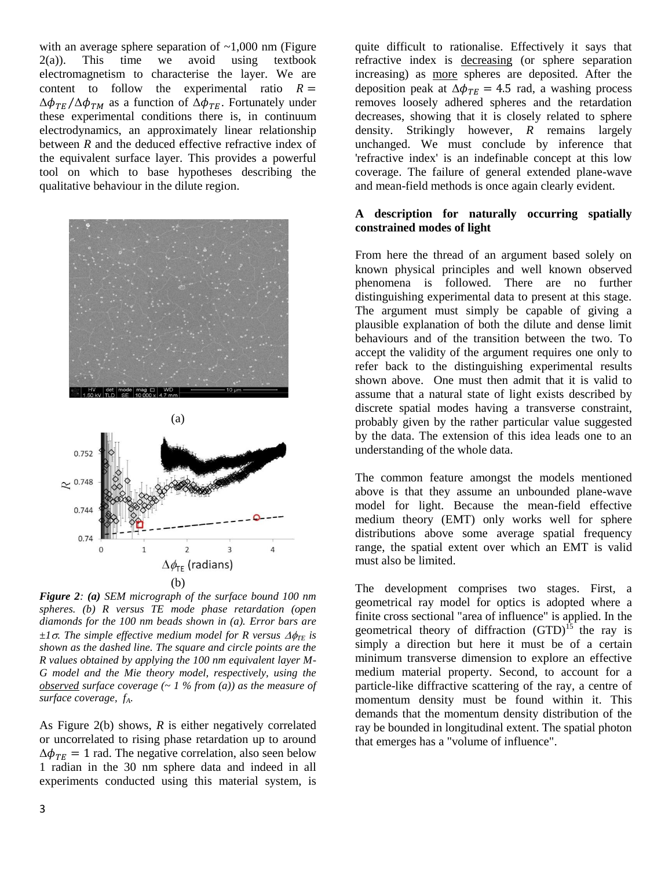with an average sphere separation of  $\sim 1,000$  nm (Figure 2(a)). This time we avoid using textbook electromagnetism to characterise the layer. We are content to follow the experimental ratio  $R =$  $\Delta\phi_{TE}/\Delta\phi_{TM}$  as a function of  $\Delta\phi_{TE}$ . Fortunately under these experimental conditions there is, in continuum electrodynamics, an approximately linear relationship between *R* and the deduced effective refractive index of the equivalent surface layer. This provides a powerful tool on which to base hypotheses describing the qualitative behaviour in the dilute region.





*Figure 2: (a) SEM micrograph of the surface bound 100 nm spheres. (b) R versus TE mode phase retardation (open diamonds for the 100 nm beads shown in (a). Error bars are*   $\pm 1\sigma$ . The simple effective medium model for R versus  $\Delta \phi_{TF}$  is *shown as the dashed line. The square and circle points are the R values obtained by applying the 100 nm equivalent layer M-G model and the Mie theory model, respectively, using the observed* surface coverage  $(-1, 9)$  *observed* surface coverage  $(-1, 9)$  *of from (a)) as the measure of surface coverage, fA.*

As Figure 2(b) shows, *R* is either negatively correlated or uncorrelated to rising phase retardation up to around  $\Delta\phi_{TF} = 1$  rad. The negative correlation, also seen below 1 radian in the 30 nm sphere data and indeed in all experiments conducted using this material system, is

quite difficult to rationalise. Effectively it says that refractive index is decreasing (or sphere separation increasing) as more spheres are deposited. After the deposition peak at  $\Delta \phi_{TE} = 4.5$  rad, a washing process removes loosely adhered spheres and the retardation decreases, showing that it is closely related to sphere density. Strikingly however, *R* remains largely unchanged. We must conclude by inference that 'refractive index' is an indefinable concept at this low coverage. The failure of general extended plane-wave and mean-field methods is once again clearly evident.

# **A description for naturally occurring spatially constrained modes of light**

From here the thread of an argument based solely on known physical principles and well known observed phenomena is followed. There are no further distinguishing experimental data to present at this stage. The argument must simply be capable of giving a plausible explanation of both the dilute and dense limit behaviours and of the transition between the two. To accept the validity of the argument requires one only to refer back to the distinguishing experimental results shown above. One must then admit that it is valid to assume that a natural state of light exists described by discrete spatial modes having a transverse constraint, probably given by the rather particular value suggested by the data. The extension of this idea leads one to an understanding of the whole data.

The common feature amongst the models mentioned above is that they assume an unbounded plane-wave model for light. Because the mean-field effective medium theory (EMT) only works well for sphere distributions above some average spatial frequency range, the spatial extent over which an EMT is valid must also be limited.

The development comprises two stages. First, a geometrical ray model for optics is adopted where a finite cross sectional "area of influence" is applied. In the geometrical theory of diffraction  $(GTD)^{15}$  the ray is simply a direction but here it must be of a certain minimum transverse dimension to explore an effective medium material property. Second, to account for a particle-like diffractive scattering of the ray, a centre of momentum density must be found within it. This demands that the momentum density distribution of the ray be bounded in longitudinal extent. The spatial photon that emerges has a "volume of influence".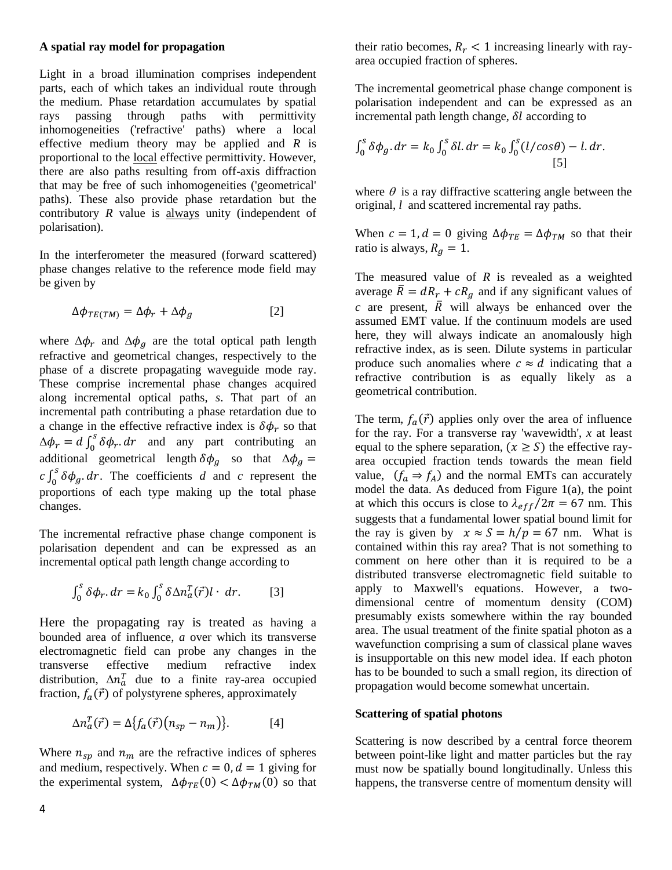### **A spatial ray model for propagation**

Light in a broad illumination comprises independent parts, each of which takes an individual route through the medium. Phase retardation accumulates by spatial rays passing through paths with permittivity inhomogeneities ('refractive' paths) where a local effective medium theory may be applied and *R* is proportional to the local effective permittivity. However, there are also paths resulting from off-axis diffraction that may be free of such inhomogeneities ('geometrical' paths). These also provide phase retardation but the contributory *R* value is always unity (independent of polarisation).

In the interferometer the measured (forward scattered) phase changes relative to the reference mode field may be given by

$$
\Delta \phi_{TE(TM)} = \Delta \phi_r + \Delta \phi_a \tag{2}
$$

where  $\Delta \phi_r$  and  $\Delta \phi_g$  are the total optical path length refractive and geometrical changes, respectively to the phase of a discrete propagating waveguide mode ray. These comprise incremental phase changes acquired along incremental optical paths, *s*. That part of an incremental path contributing a phase retardation due to a change in the effective refractive index is  $\delta \phi_r$  so that  $\Delta \phi_r = d \int_0^3 \delta \phi_r dr$  and any part contributing an additional geometrical length  $\delta \phi_a$  so that  $\Delta$  $c \int_0^3 \delta \phi_g \, dr$ . The coefficients *d* and *c* represent the proportions of each type making up the total phase changes.

The incremental refractive phase change component is polarisation dependent and can be expressed as an incremental optical path length change according to

$$
\int_0^s \delta \phi_r \, dr = k_0 \int_0^s \delta \Delta n_a^T(\vec{r}) l \cdot dr. \tag{3}
$$

Here the propagating ray is treated as having a bounded area of influence, *a* over which its transverse electromagnetic field can probe any changes in the transverse effective medium refractive index distribution,  $\Delta n_a^T$  due to a finite ray-area occupied fraction,  $f_a(\vec{r})$  of polystyrene spheres, approximately

$$
\Delta n_a^T(\vec{r}) = \Delta \{ f_a(\vec{r}) \big( n_{sp} - n_m \big) \}.
$$
 [4]

Where  $n_{sp}$  and  $n_m$  are the refractive indices of spheres and medium, respectively. When  $c = 0$ ,  $d = 1$  giving for the experimental system,  $\Delta \phi_{TE}(0) < \Delta \phi_{TM}(0)$  so that their ratio becomes,  $R_r < 1$  increasing linearly with rayarea occupied fraction of spheres.

The incremental geometrical phase change component is polarisation independent and can be expressed as an incremental path length change,  $\delta l$  according to

$$
\int_0^s \delta \phi_g \, dr = k_0 \int_0^s \delta l \, dr = k_0 \int_0^s (l/cos\theta) - l \, dr.
$$
\n[5]

where  $\theta$  is a ray diffractive scattering angle between the original, *l* and scattered incremental ray paths.

When  $c = 1$ ,  $d = 0$  giving  $\Delta \phi_{TE} = \Delta \phi_{TM}$  so that their ratio is always,  $R_q = 1$ .

The measured value of *R* is revealed as a weighted average  $\overline{R} = dR_r + cR_q$  and if any significant values of *c* are present,  $\overline{R}$  will always be enhanced over the assumed EMT value. If the continuum models are used here, they will always indicate an anomalously high refractive index, as is seen. Dilute systems in particular produce such anomalies where  $c \approx d$  indicating that a refractive contribution is as equally likely as a geometrical contribution.

The term,  $f_a(\vec{r})$  applies only over the area of influence for the ray. For a transverse ray 'wavewidth', *x* at least equal to the sphere separation,  $(x \ge S)$  the effective rayarea occupied fraction tends towards the mean field value,  $(f_a \Rightarrow f_A)$  and the normal EMTs can accurately model the data. As deduced from Figure 1(a), the point at which this occurs is close to  $\lambda_{eff}/2\pi = 67$  nm. This suggests that a fundamental lower spatial bound limit for the ray is given by  $x \approx S = h/p = 67$  nm. What is contained within this ray area? That is not something to comment on here other than it is required to be a distributed transverse electromagnetic field suitable to apply to Maxwell's equations. However, a twodimensional centre of momentum density (COM) presumably exists somewhere within the ray bounded area. The usual treatment of the finite spatial photon as a wavefunction comprising a sum of classical plane waves is insupportable on this new model idea. If each photon has to be bounded to such a small region, its direction of propagation would become somewhat uncertain.

### **Scattering of spatial photons**

Scattering is now described by a central force theorem between point-like light and matter particles but the ray must now be spatially bound longitudinally. Unless this happens, the transverse centre of momentum density will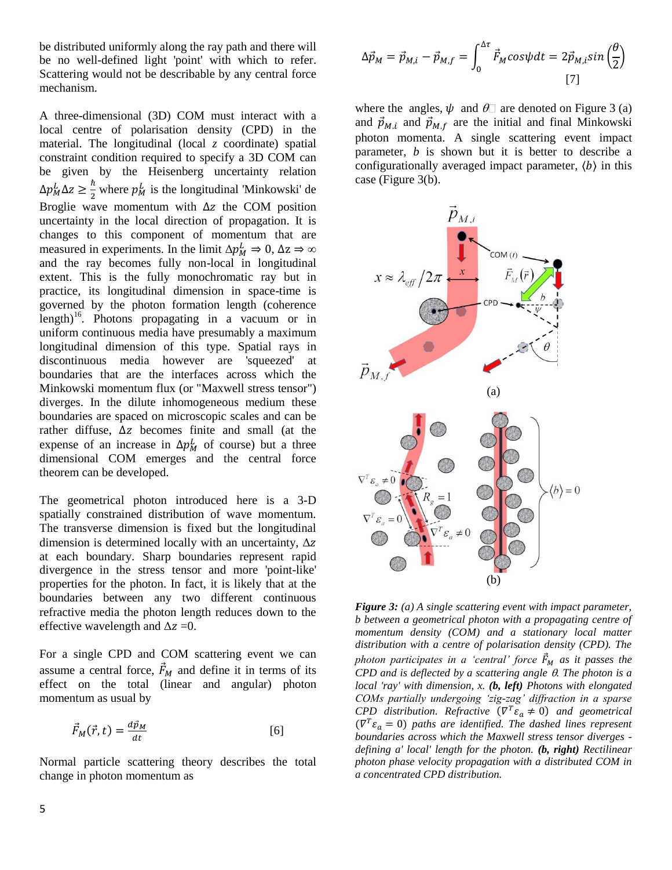be distributed uniformly along the ray path and there will be no well-defined light 'point' with which to refer. Scattering would not be describable by any central force mechanism.

A three-dimensional (3D) COM must interact with a local centre of polarisation density (CPD) in the material. The longitudinal (local *z* coordinate) spatial constraint condition required to specify a 3D COM can be given by the Heisenberg uncertainty relation  $\Delta p_M^L \Delta z \geq \frac{\hbar}{2}$  $\frac{\hbar}{2}$  where  $p_M^L$  is the longitudinal 'Minkowski' de Broglie wave momentum with  $\Delta z$  the COM position uncertainty in the local direction of propagation. It is changes to this component of momentum that are measured in experiments. In the limit  $\Delta p_M^L \Rightarrow 0$ , and the ray becomes fully non-local in longitudinal extent. This is the fully monochromatic ray but in practice, its longitudinal dimension in space-time is governed by the photon formation length (coherence length) 16 . Photons propagating in a vacuum or in uniform continuous media have presumably a maximum longitudinal dimension of this type. Spatial rays in discontinuous media however are 'squeezed' at boundaries that are the interfaces across which the Minkowski momentum flux (or "Maxwell stress tensor") diverges. In the dilute inhomogeneous medium these boundaries are spaced on microscopic scales and can be rather diffuse,  $\Delta z$  becomes finite and small (at the expense of an increase in  $\Delta p_M^L$  of course) but a three dimensional COM emerges and the central force theorem can be developed.

The geometrical photon introduced here is a 3-D spatially constrained distribution of wave momentum. The transverse dimension is fixed but the longitudinal dimension is determined locally with an uncertainty,  $\Delta z$ at each boundary. Sharp boundaries represent rapid divergence in the stress tensor and more 'point-like' properties for the photon. In fact, it is likely that at the boundaries between any two different continuous refractive media the photon length reduces down to the effective wavelength and  $\Delta z = 0$ .

For a single CPD and COM scattering event we can assume a central force,  $\vec{F}_M$  and define it in terms of its effect on the total (linear and angular) photon momentum as usual by

$$
\vec{F}_M(\vec{r},t) = \frac{d\vec{p}_M}{dt} \tag{6}
$$

Normal particle scattering theory describes the total change in photon momentum as

$$
\Delta \vec{p}_M = \vec{p}_{M,i} - \vec{p}_{M,f} = \int_0^{\Delta \tau} \vec{F}_M \cos \psi dt = 2 \vec{p}_{M,i} \sin \left(\frac{\theta}{2}\right)
$$
\n[7]

where the angles,  $\psi$  and  $\theta$  are denoted on Figure 3 (a) and  $\vec{p}_{M,i}$  and  $\vec{p}_{M,f}$  are the initial and final Minkowski photon momenta. A single scattering event impact parameter, *b* is shown but it is better to describe a configurationally averaged impact parameter,  $\langle b \rangle$  in this case (Figure 3(b).



*Figure 3: (a) A single scattering event with impact parameter, b between a geometrical photon with a propagating centre of momentum density (COM) and a stationary local matter distribution with a centre of polarisation density (CPD). The photon participates in a 'central' force*  $\vec{F}_M$  *as it passes the CPD and is deflected by a scattering angle . The photon is a local 'ray' with dimension, x. (b, left) Photons with elongated COMs partially undergoing 'zig-zag' diffraction in a sparse CPD* distribution. Refractive ( $\nabla^T \varepsilon_a \neq 0$ ) and geometrical  $(\nabla^T \varepsilon_a = 0)$  paths are identified. The dashed lines represent *boundaries across which the Maxwell stress tensor diverges defining a' local' length for the photon. (b, right) Rectilinear photon phase velocity propagation with a distributed COM in a concentrated CPD distribution.*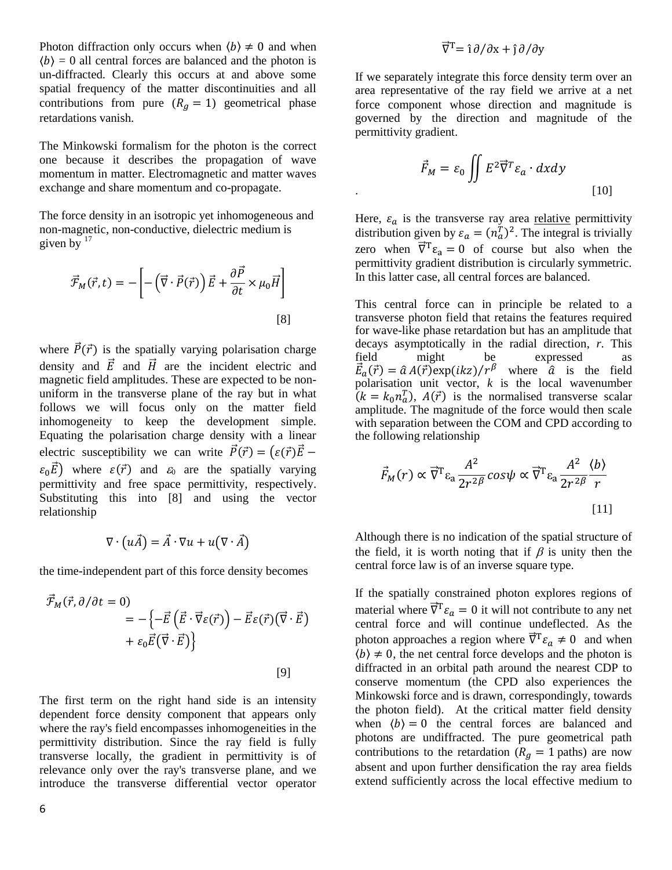Photon diffraction only occurs when  $\langle b \rangle \neq 0$  and when  $\langle b \rangle = 0$  all central forces are balanced and the photon is un-diffracted. Clearly this occurs at and above some spatial frequency of the matter discontinuities and all contributions from pure  $(R<sub>a</sub> = 1)$  geometrical phase retardations vanish.

The Minkowski formalism for the photon is the correct one because it describes the propagation of wave momentum in matter. Electromagnetic and matter waves exchange and share momentum and co-propagate.

The force density in an isotropic yet inhomogeneous and non-magnetic, non-conductive, dielectric medium is given by  $17$ 

$$
\vec{\mathcal{F}}_M(\vec{r},t) = -\left[ -\left(\vec{\nabla}\cdot\vec{P}(\vec{r})\right)\vec{E} + \frac{\partial\vec{P}}{\partial t} \times \mu_0 \vec{H} \right]
$$
\n[8]

where  $\vec{P}(\vec{r})$  is the spatially varying polarisation charge density and  $\vec{E}$  and  $\vec{H}$  are the incident electric and magnetic field amplitudes. These are expected to be nonuniform in the transverse plane of the ray but in what follows we will focus only on the matter field inhomogeneity to keep the development simple. Equating the polarisation charge density with a linear electric susceptibility we can write  $\vec{P}(\vec{r}) = (\varepsilon(\vec{r}))\vec{E}$  –  $\varepsilon_0 \vec{E}$ ) where  $\varepsilon(\vec{r})$  and  $\varepsilon_0$  are the spatially varying permittivity and free space permittivity, respectively. Substituting this into [8] and using the vector relationship

$$
\nabla \cdot (u\vec{A}) = \vec{A} \cdot \nabla u + u(\nabla \cdot \vec{A})
$$

the time-independent part of this force density becomes

$$
\vec{\mathcal{F}}_M(\vec{r}, \partial/\partial t = 0) \n= -\left\{-\vec{E}\left(\vec{E}\cdot\vec{\nabla}\varepsilon(\vec{r})\right) - \vec{E}\varepsilon(\vec{r})\left(\vec{\nabla}\cdot\vec{E}\right) + \varepsilon_0 \vec{E}\left(\vec{\nabla}\cdot\vec{E}\right)\right\}
$$
\n[9]

The first term on the right hand side is an intensity dependent force density component that appears only where the ray's field encompasses inhomogeneities in the permittivity distribution. Since the ray field is fully transverse locally, the gradient in permittivity is of relevance only over the ray's transverse plane, and we introduce the transverse differential vector operator

If we separately integrate this force density term over an area representative of the ray field we arrive at a net force component whose direction and magnitude is governed by the direction and magnitude of the permittivity gradient.

$$
\vec{F}_M = \varepsilon_0 \iint E^2 \vec{\nabla}^T \varepsilon_a \cdot dxdy
$$
\n(10)

Here,  $\varepsilon_a$  is the transverse ray area relative permittivity distribution given by  $\varepsilon_a = (n_a^T)^2$ . The integral is trivially zero when  $\vec{\nabla}^T \varepsilon_a = 0$  of course but also when the permittivity gradient distribution is circularly symmetric. In this latter case, all central forces are balanced.

This central force can in principle be related to a transverse photon field that retains the features required for wave-like phase retardation but has an amplitude that decays asymptotically in the radial direction, *r*. This field might be expressed as  $\vec{E}_a(\vec{r}) = \hat{a} A(\vec{r}) \exp(ikz)/r^{\beta}$  where  $\hat{a}$  is the field polarisation unit vector, *k* is the local wavenumber  $(k = k_0 n_a^T)$ ,  $A(\vec{r})$  is the normalised transverse scalar amplitude. The magnitude of the force would then scale with separation between the COM and CPD according to the following relationship

$$
\vec{F}_M(r) \propto \vec{\nabla}^{\mathsf{T}} \varepsilon_a \frac{A^2}{2r^{2\beta}} cos \psi \propto \vec{\nabla}^{\mathsf{T}} \varepsilon_a \frac{A^2}{2r^{2\beta}} \frac{\langle b \rangle}{r}
$$
\n[11]

Although there is no indication of the spatial structure of the field, it is worth noting that if  $\beta$  is unity then the central force law is of an inverse square type.

If the spatially constrained photon explores regions of material where  $\vec{\nabla}^T \varepsilon_a = 0$  it will not contribute to any net central force and will continue undeflected. As the photon approaches a region where  $\vec{\nabla}^T \varepsilon_a \neq 0$  and when  $\langle b \rangle \neq 0$ , the net central force develops and the photon is diffracted in an orbital path around the nearest CDP to conserve momentum (the CPD also experiences the Minkowski force and is drawn, correspondingly, towards the photon field). At the critical matter field density when  $\langle b \rangle = 0$  the central forces are balanced and photons are undiffracted. The pure geometrical path contributions to the retardation ( $R_g = 1$  paths) are now absent and upon further densification the ray area fields extend sufficiently across the local effective medium to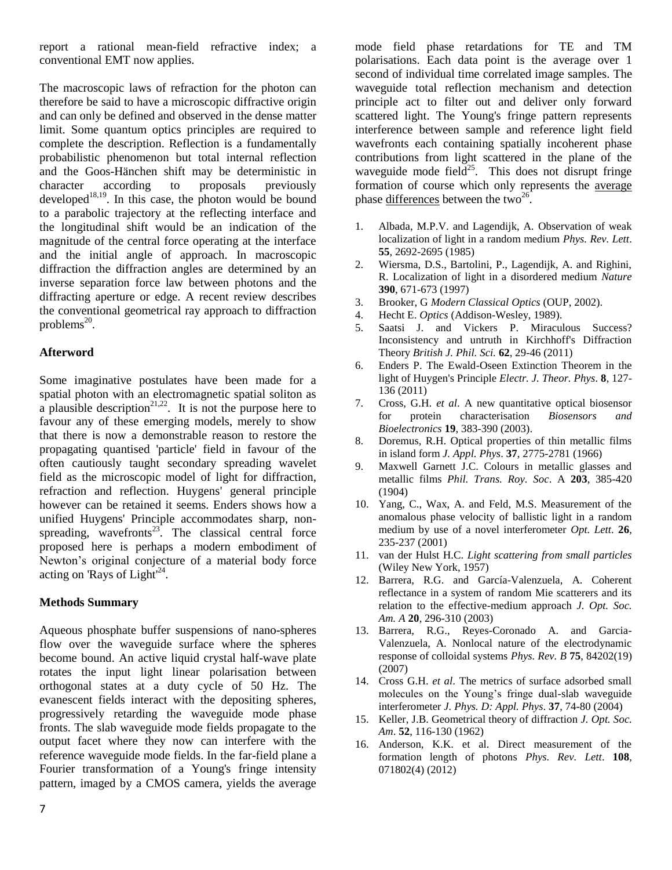report a rational mean-field refractive index; a conventional EMT now applies.

The macroscopic laws of refraction for the photon can therefore be said to have a microscopic diffractive origin and can only be defined and observed in the dense matter limit. Some quantum optics principles are required to complete the description. Reflection is a fundamentally probabilistic phenomenon but total internal reflection and the Goos-Hänchen shift may be deterministic in character according to proposals previously developed $18,19$ . In this case, the photon would be bound to a parabolic trajectory at the reflecting interface and the longitudinal shift would be an indication of the magnitude of the central force operating at the interface and the initial angle of approach. In macroscopic diffraction the diffraction angles are determined by an inverse separation force law between photons and the diffracting aperture or edge. A recent review describes the conventional geometrical ray approach to diffraction problems $^{20}$ .

# **Afterword**

Some imaginative postulates have been made for a spatial photon with an electromagnetic spatial soliton as a plausible description<sup>21,22</sup>. It is not the purpose here to favour any of these emerging models, merely to show that there is now a demonstrable reason to restore the propagating quantised 'particle' field in favour of the often cautiously taught secondary spreading wavelet field as the microscopic model of light for diffraction, refraction and reflection. Huygens' general principle however can be retained it seems. Enders shows how a unified Huygens' Principle accommodates sharp, nonspreading, wavefronts<sup>23</sup>. The classical central force proposed here is perhaps a modern embodiment of Newton's original conjecture of a material body force acting on 'Rays of Light'<sup>24</sup>.

# **Methods Summary**

Aqueous phosphate buffer suspensions of nano-spheres flow over the waveguide surface where the spheres become bound. An active liquid crystal half-wave plate rotates the input light linear polarisation between orthogonal states at a duty cycle of 50 Hz. The evanescent fields interact with the depositing spheres, progressively retarding the waveguide mode phase fronts. The slab waveguide mode fields propagate to the output facet where they now can interfere with the reference waveguide mode fields. In the far-field plane a Fourier transformation of a Young's fringe intensity pattern, imaged by a CMOS camera, yields the average

mode field phase retardations for TE and TM polarisations. Each data point is the average over 1 second of individual time correlated image samples. The waveguide total reflection mechanism and detection principle act to filter out and deliver only forward scattered light. The Young's fringe pattern represents interference between sample and reference light field wavefronts each containing spatially incoherent phase contributions from light scattered in the plane of the waveguide mode field<sup>25</sup>. This does not disrupt fringe formation of course which only represents the average phase differences between the two<sup>26</sup>.

- 1. Albada, M.P.V. and Lagendijk, A*.* Observation of weak localization of light in a random medium *Phys. Rev. Lett*. **55**, 2692-2695 (1985)
- 2. Wiersma, D.S., Bartolini, P., Lagendijk, A. and Righini, R. Localization of light in a disordered medium *Nature* **390**, 671-673 (1997)
- 3. Brooker, G *Modern Classical Optics* (OUP, 2002).
- 4. Hecht E. *Optics* (Addison-Wesley, 1989).
- 5. Saatsi J. and Vickers P. [Miraculous Success?](http://philpapers.org/rec/SAAMSI)  [Inconsistency and untruth in Kirchhoff's Diffraction](http://philpapers.org/rec/SAAMSI) [Theory](http://philpapers.org/rec/SAAMSI) *British J. Phil. Sci.* **62**, 29-46 (2011)
- 6. Enders P. The Ewald-Oseen Extinction Theorem in the light of Huygen's Principle *Electr. J. Theor. Phys*. **8**, 127- 136 (2011)
- 7. Cross, G.H. *et al*. A new quantitative optical biosensor for protein characterisation *Biosensors and Bioelectronics* **19**, 383-390 (2003).
- 8. Doremus, R.H. Optical properties of thin metallic films in island form *J. Appl. Phys*. **37**, 2775-2781 (1966)
- 9. Maxwell Garnett J.C. Colours in metallic glasses and metallic films *Phil. Trans. Roy. Soc*. A **203**, 385-420 (1904)
- 10. Yang, C., Wax, A. and Feld, M.S. Measurement of the anomalous phase velocity of ballistic light in a random medium by use of a novel interferometer *Opt. Lett*. **26**, 235-237 (2001)
- 11. van der Hulst H.C. *Light scattering from small particles* (Wiley New York, 1957)
- 12. Barrera, R.G. and García-Valenzuela, A. Coherent reflectance in a system of random Mie scatterers and its relation to the effective-medium approach *J. Opt. Soc. Am. A* **20**, 296-310 (2003)
- 13. Barrera, R.G., Reyes-Coronado A. and Garcia-Valenzuela, A. Nonlocal nature of the electrodynamic response of colloidal systems *Phys. Rev. B* **75**, 84202(19) (2007)
- 14. Cross G.H. *et al*. The metrics of surface adsorbed small molecules on the Young's fringe dual-slab waveguide interferometer *J. Phys. D: Appl. Phys*. **37**, 74-80 (2004)
- 15. Keller, J.B. Geometrical theory of diffraction *J. Opt. Soc. Am*. **52**, 116-130 (1962)
- 16. Anderson, K.K. et al. Direct measurement of the formation length of photons *Phys. Rev. Lett*. **108**, 071802(4) (2012)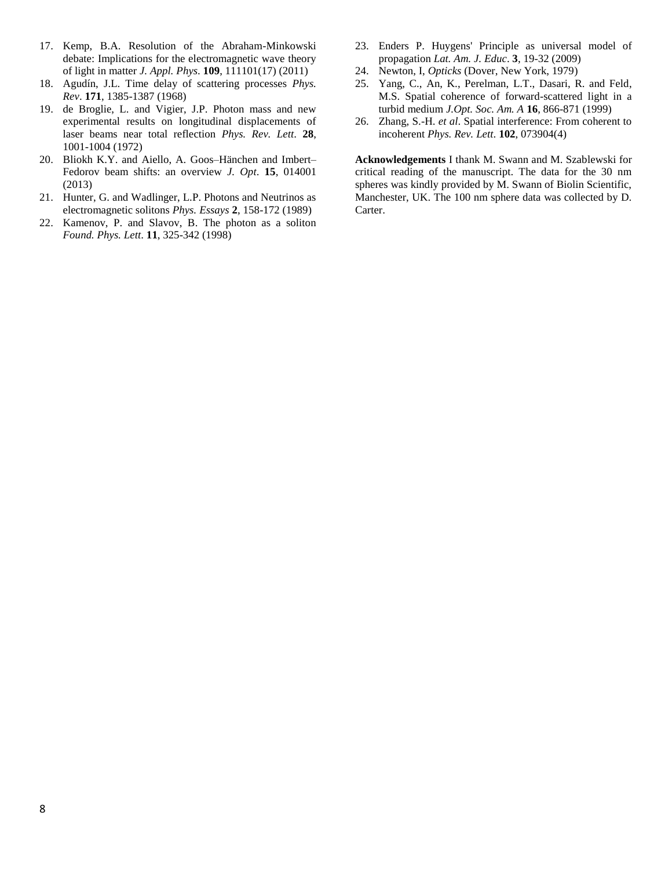- 17. Kemp, B.A. Resolution of the Abraham-Minkowski debate: Implications for the electromagnetic wave theory of light in matter *J. Appl. Phys*. **109**, 111101(17) (2011)
- 18. Agudín, J.L. Time delay of scattering processes *Phys. Rev*. **171**, 1385-1387 (1968)
- 19. de Broglie, L. and Vigier, J.P. Photon mass and new experimental results on longitudinal displacements of laser beams near total reflection *Phys. Rev. Lett*. **28**, 1001-1004 (1972)
- 20. Bliokh K.Y. and Aiello, A. Goos–Hänchen and Imbert– Fedorov beam shifts: an overview *J. Opt*. **15**, 014001 (2013)
- 21. Hunter, G. and Wadlinger, L.P. Photons and Neutrinos as electromagnetic solitons *Phys. Essays* **2**, 158-172 (1989)
- 22. Kamenov, P. and Slavov, B. The photon as a soliton *Found. Phys. Lett*. **11**, 325-342 (1998)
- 23. Enders P. Huygens' Principle as universal model of propagation *Lat. Am. J. Educ*. **3**, 19-32 (2009)
- 24. Newton, I, *Opticks* (Dover, New York, 1979)
- 25. Yang, C., An, K., Perelman, L.T., Dasari, R. and Feld, M.S. Spatial coherence of forward-scattered light in a turbid medium *J.Opt. Soc. Am. A* **16**, 866-871 (1999)
- 26. Zhang, S.-H. *et al*. Spatial interference: From coherent to incoherent *Phys. Rev. Lett*. **102**, 073904(4)

**Acknowledgements** I thank M. Swann and M. Szablewski for critical reading of the manuscript. The data for the 30 nm spheres was kindly provided by M. Swann of Biolin Scientific, Manchester, UK. The 100 nm sphere data was collected by D. Carter.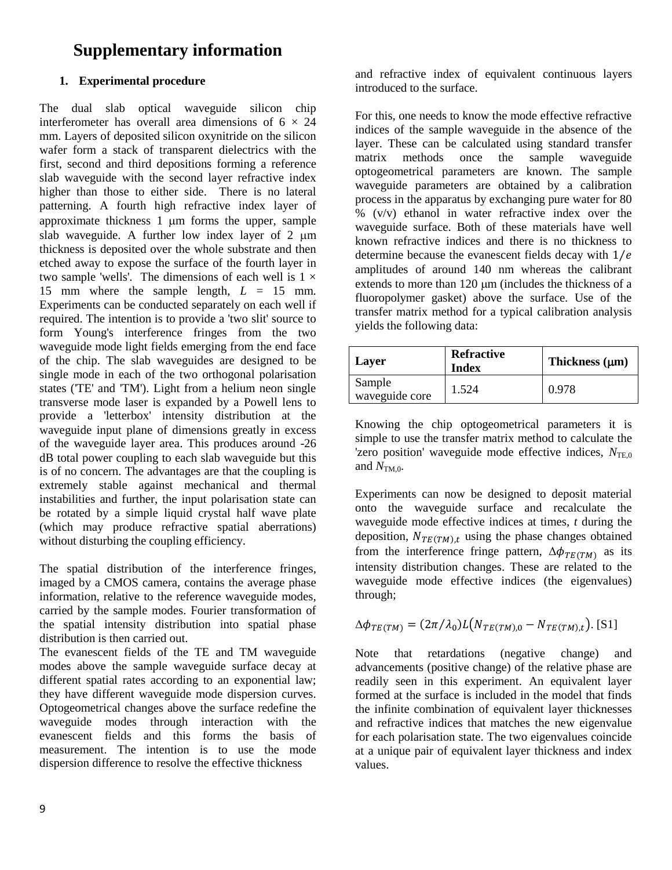# **Supplementary information**

# **1. Experimental procedure**

The dual slab optical waveguide silicon chip interferometer has overall area dimensions of  $6 \times 24$ mm. Layers of deposited silicon oxynitride on the silicon wafer form a stack of transparent dielectrics with the first, second and third depositions forming a reference slab waveguide with the second layer refractive index higher than those to either side. There is no lateral patterning. A fourth high refractive index layer of approximate thickness  $1 \mu m$  forms the upper, sample slab waveguide. A further low index layer of  $2 \mu m$ thickness is deposited over the whole substrate and then etched away to expose the surface of the fourth layer in two sample 'wells'. The dimensions of each well is  $1 \times$ 15 mm where the sample length,  $L = 15$  mm. Experiments can be conducted separately on each well if required. The intention is to provide a 'two slit' source to form Young's interference fringes from the two waveguide mode light fields emerging from the end face of the chip. The slab waveguides are designed to be single mode in each of the two orthogonal polarisation states ('TE' and 'TM'). Light from a helium neon single transverse mode laser is expanded by a Powell lens to provide a 'letterbox' intensity distribution at the waveguide input plane of dimensions greatly in excess of the waveguide layer area. This produces around -26 dB total power coupling to each slab waveguide but this is of no concern. The advantages are that the coupling is extremely stable against mechanical and thermal instabilities and further, the input polarisation state can be rotated by a simple liquid crystal half wave plate (which may produce refractive spatial aberrations) without disturbing the coupling efficiency.

The spatial distribution of the interference fringes, imaged by a CMOS camera, contains the average phase information, relative to the reference waveguide modes, carried by the sample modes. Fourier transformation of the spatial intensity distribution into spatial phase distribution is then carried out.

The evanescent fields of the TE and TM waveguide modes above the sample waveguide surface decay at different spatial rates according to an exponential law; they have different waveguide mode dispersion curves. Optogeometrical changes above the surface redefine the waveguide modes through interaction with the evanescent fields and this forms the basis of measurement. The intention is to use the mode dispersion difference to resolve the effective thickness

and refractive index of equivalent continuous layers introduced to the surface.

For this, one needs to know the mode effective refractive indices of the sample waveguide in the absence of the layer. These can be calculated using standard transfer matrix methods once the sample waveguide optogeometrical parameters are known. The sample waveguide parameters are obtained by a calibration process in the apparatus by exchanging pure water for 80  $\%$  (v/v) ethanol in water refractive index over the waveguide surface. Both of these materials have well known refractive indices and there is no thickness to determine because the evanescent fields decay with  $1/e$ amplitudes of around 140 nm whereas the calibrant extends to more than  $120 \mu m$  (includes the thickness of a fluoropolymer gasket) above the surface. Use of the transfer matrix method for a typical calibration analysis yields the following data:

| Layer                    | <b>Refractive</b><br><b>Index</b> | Thickness $(\mu m)$ |
|--------------------------|-----------------------------------|---------------------|
| Sample<br>waveguide core | 1.524                             | 0.978               |

Knowing the chip optogeometrical parameters it is simple to use the transfer matrix method to calculate the 'zero position' waveguide mode effective indices,  $N_{TE,0}$ and  $N_{TM,0}$ .

Experiments can now be designed to deposit material onto the waveguide surface and recalculate the waveguide mode effective indices at times, *t* during the deposition,  $N_{TE(TM),t}$  using the phase changes obtained from the interference fringe pattern,  $\Delta \phi_{TE(TM)}$  as its intensity distribution changes. These are related to the waveguide mode effective indices (the eigenvalues) through;

$$
\Delta \phi_{TE(TM)} = (2\pi/\lambda_0)L(N_{TE(TM),0} - N_{TE(TM),t}).
$$
 [S1]

Note that retardations (negative change) and advancements (positive change) of the relative phase are readily seen in this experiment. An equivalent layer formed at the surface is included in the model that finds the infinite combination of equivalent layer thicknesses and refractive indices that matches the new eigenvalue for each polarisation state. The two eigenvalues coincide at a unique pair of equivalent layer thickness and index values.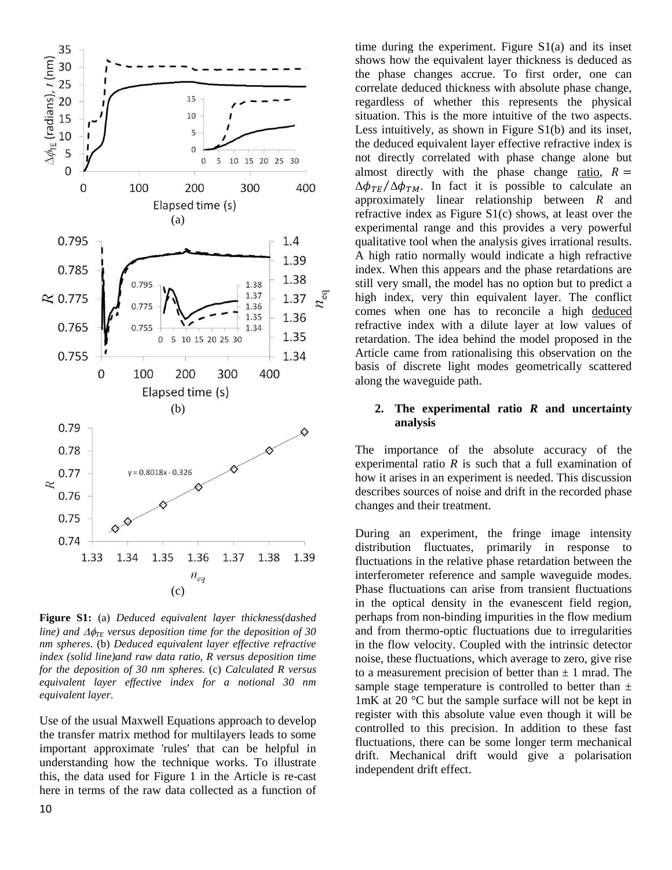

**Figure S1:** (a) *Deduced equivalent layer thickness(dashed line)* and  $\Delta\phi_{\text{TE}}$  versus deposition time for the deposition of 30 *nm spheres*. (b) *Deduced equivalent layer effective refractive index (solid line)and raw data ratio, R versus deposition time for the deposition of 30 nm spheres.* (c) *Calculated R versus equivalent layer effective index for a notional 30 nm equivalent layer*.

Use of the usual Maxwell Equations approach to develop the transfer matrix method for multilayers leads to some important approximate 'rules' that can be helpful in understanding how the technique works. To illustrate this, the data used for Figure 1 in the Article is re-cast here in terms of the raw data collected as a function of

time during the experiment. Figure S1(a) and its inset shows how the equivalent layer thickness is deduced as the phase changes accrue. To first order, one can correlate deduced thickness with absolute phase change, regardless of whether this represents the physical situation. This is the more intuitive of the two aspects. Less intuitively, as shown in Figure S1(b) and its inset, the deduced equivalent layer effective refractive index is not directly correlated with phase change alone but almost directly with the phase change ratio,  $R =$  $\Delta\phi_{TE}/\Delta\phi_{TM}$ . In fact it is possible to calculate an approximately linear relationship between *R* and refractive index as Figure S1(c) shows, at least over the experimental range and this provides a very powerful qualitative tool when the analysis gives irrational results. A high ratio normally would indicate a high refractive index. When this appears and the phase retardations are still very small, the model has no option but to predict a high index, very thin equivalent layer. The conflict comes when one has to reconcile a high deduced refractive index with a dilute layer at low values of retardation. The idea behind the model proposed in the Article came from rationalising this observation on the basis of discrete light modes geometrically scattered along the waveguide path.

# **2. The experimental ratio** *R* **and uncertainty analysis**

The importance of the absolute accuracy of the experimental ratio *R* is such that a full examination of how it arises in an experiment is needed. This discussion describes sources of noise and drift in the recorded phase changes and their treatment.

During an experiment, the fringe image intensity distribution fluctuates, primarily in response to fluctuations in the relative phase retardation between the interferometer reference and sample waveguide modes. Phase fluctuations can arise from transient fluctuations in the optical density in the evanescent field region, perhaps from non-binding impurities in the flow medium and from thermo-optic fluctuations due to irregularities in the flow velocity. Coupled with the intrinsic detector noise, these fluctuations, which average to zero, give rise to a measurement precision of better than  $\pm$  1 mrad. The sample stage temperature is controlled to better than  $\pm$ 1mK at 20 °C but the sample surface will not be kept in register with this absolute value even though it will be controlled to this precision. In addition to these fast fluctuations, there can be some longer term mechanical drift. Mechanical drift would give a polarisation independent drift effect.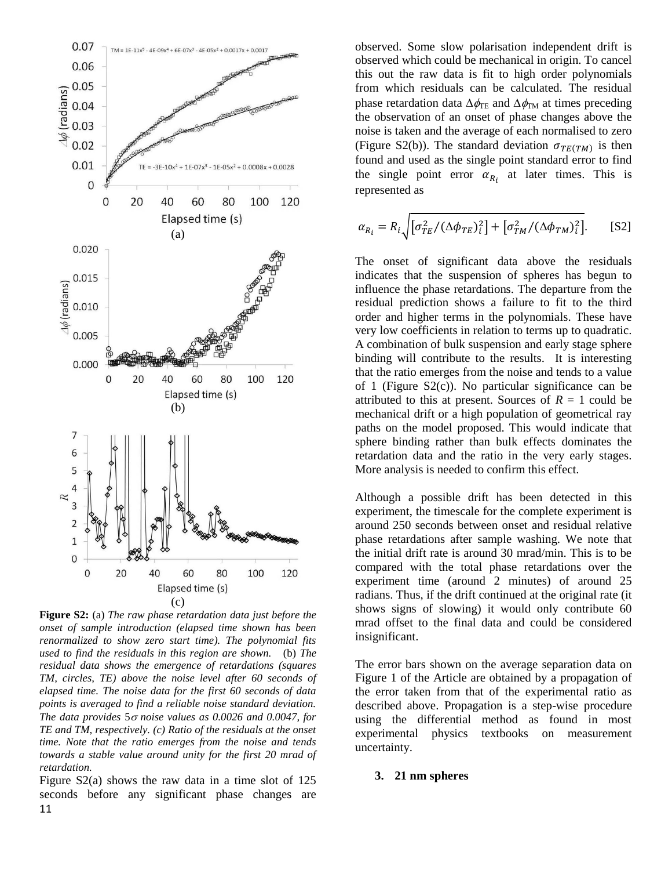

**Figure S2:** (a) *The raw phase retardation data just before the onset of sample introduction (elapsed time shown has been renormalized to show zero start time). The polynomial fits used to find the residuals in this region are shown.* (b) *The residual data shows the emergence of retardations (squares TM, circles, TE) above the noise level after 60 seconds of elapsed time. The noise data for the first 60 seconds of data points is averaged to find a reliable noise standard deviation. The data provides* 5 *noise values as 0.0026 and 0.0047, for TE and TM, respectively. (c) Ratio of the residuals at the onset time. Note that the ratio emerges from the noise and tends towards a stable value around unity for the first 20 mrad of retardation.*

11 Figure S2(a) shows the raw data in a time slot of 125 seconds before any significant phase changes are observed. Some slow polarisation independent drift is observed which could be mechanical in origin. To cancel this out the raw data is fit to high order polynomials from which residuals can be calculated. The residual phase retardation data  $\Delta \phi_{\text{TE}}$  and  $\Delta \phi_{\text{TM}}$  at times preceding the observation of an onset of phase changes above the noise is taken and the average of each normalised to zero (Figure S2(b)). The standard deviation  $\sigma_{TE(TM)}$  is then found and used as the single point standard error to find the single point error  $\alpha_{R_i}$  at later times. This is represented as

$$
\alpha_{R_i} = R_i \sqrt{\left[\sigma_{TE}^2 / (\Delta \phi_{TE})_i^2\right] + \left[\sigma_{TM}^2 / (\Delta \phi_{TM})_i^2\right]}.
$$
 [S2]

The onset of significant data above the residuals indicates that the suspension of spheres has begun to influence the phase retardations. The departure from the residual prediction shows a failure to fit to the third order and higher terms in the polynomials. These have very low coefficients in relation to terms up to quadratic. A combination of bulk suspension and early stage sphere binding will contribute to the results. It is interesting that the ratio emerges from the noise and tends to a value of 1 (Figure S2(c)). No particular significance can be attributed to this at present. Sources of  $R = 1$  could be mechanical drift or a high population of geometrical ray paths on the model proposed. This would indicate that sphere binding rather than bulk effects dominates the retardation data and the ratio in the very early stages. More analysis is needed to confirm this effect.

Although a possible drift has been detected in this experiment, the timescale for the complete experiment is around 250 seconds between onset and residual relative phase retardations after sample washing. We note that the initial drift rate is around 30 mrad/min. This is to be compared with the total phase retardations over the experiment time (around 2 minutes) of around 25 radians. Thus, if the drift continued at the original rate (it shows signs of slowing) it would only contribute 60 mrad offset to the final data and could be considered insignificant.

The error bars shown on the average separation data on Figure 1 of the Article are obtained by a propagation of the error taken from that of the experimental ratio as described above. Propagation is a step-wise procedure using the differential method as found in most experimental physics textbooks on measurement uncertainty.

#### **3. 21 nm spheres**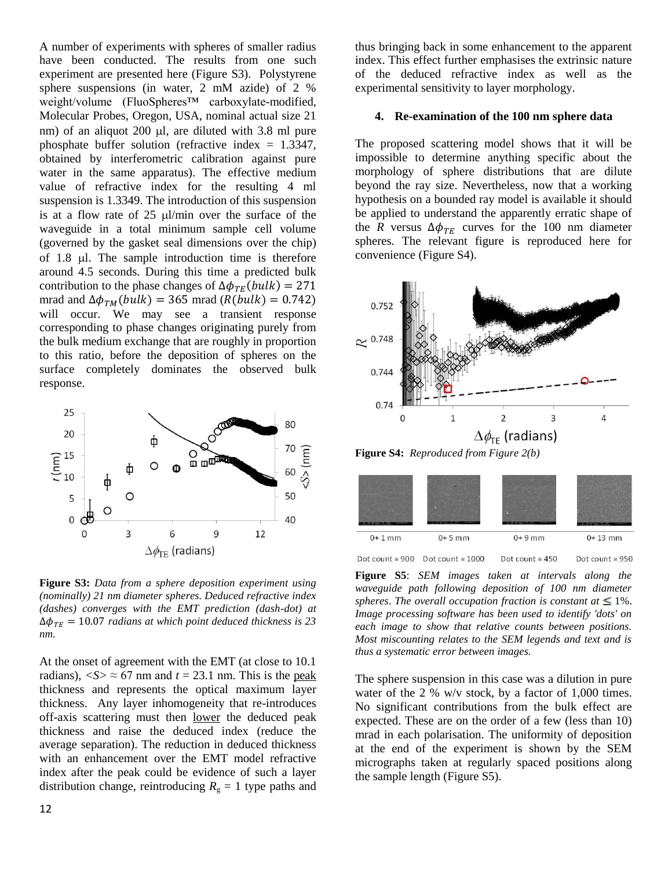A number of experiments with spheres of smaller radius have been conducted. The results from one such experiment are presented here (Figure S3). Polystyrene sphere suspensions (in water, 2 mM azide) of 2 % weight/volume (FluoSpheres™ carboxylate-modified, Molecular Probes, Oregon, USA, nominal actual size 21 nm) of an aliquot  $200 \mu l$ , are diluted with 3.8 ml pure phosphate buffer solution (refractive index  $= 1.3347$ , obtained by interferometric calibration against pure water in the same apparatus). The effective medium value of refractive index for the resulting 4 ml suspension is 1.3349. The introduction of this suspension is at a flow rate of  $25 \mu$ l/min over the surface of the waveguide in a total minimum sample cell volume (governed by the gasket seal dimensions over the chip) of 1.8 *ul.* The sample introduction time is therefore around 4.5 seconds. During this time a predicted bulk contribution to the phase changes of  $\Delta \phi_{TE}(bulk) = 271$ mrad and  $\Delta \phi_{TM}(bulk) = 365$  mrad ( $R(blk) = 0.742$ ) will occur. We may see a transient response corresponding to phase changes originating purely from the bulk medium exchange that are roughly in proportion to this ratio, before the deposition of spheres on the surface completely dominates the observed bulk response.



**Figure S3:** *Data from a sphere deposition experiment using (nominally) 21 nm diameter spheres. Deduced refractive index (dashes) converges with the EMT prediction (dash-dot) at*   $\Delta\phi_{TE}$  = 10.07 radians at which point deduced thickness is 23 *nm.*

At the onset of agreement with the EMT (at close to 10.1 radians),  $\langle S \rangle \approx 67$  nm and  $t = 23.1$  nm. This is the peak thickness and represents the optical maximum layer thickness. Any layer inhomogeneity that re-introduces off-axis scattering must then lower the deduced peak thickness and raise the deduced index (reduce the average separation). The reduction in deduced thickness with an enhancement over the EMT model refractive index after the peak could be evidence of such a layer distribution change, reintroducing  $R_g = 1$  type paths and

thus bringing back in some enhancement to the apparent index. This effect further emphasises the extrinsic nature of the deduced refractive index as well as the experimental sensitivity to layer morphology.

#### **4. Re-examination of the 100 nm sphere data**

The proposed scattering model shows that it will be impossible to determine anything specific about the morphology of sphere distributions that are dilute beyond the ray size. Nevertheless, now that a working hypothesis on a bounded ray model is available it should be applied to understand the apparently erratic shape of the *R* versus  $\Delta \phi_{TE}$  curves for the 100 nm diameter spheres. The relevant figure is reproduced here for convenience (Figure S4).



**Figure S4:** *Reproduced from Figure 2(b)*



Dot count =  $900$  Dot count =  $1000$ Dot count =  $450$ Dot count =  $950$ 

**Figure S5**: *SEM images taken at intervals along the waveguide path following deposition of 100 nm diameter spheres. The overall occupation fraction is constant at*  $\leq 1\%$ . *Image processing software has been used to identify 'dots' on each image to show that relative counts between positions. Most miscounting relates to the SEM legends and text and is thus a systematic error between images.*

The sphere suspension in this case was a dilution in pure water of the 2 % w/v stock, by a factor of 1,000 times. No significant contributions from the bulk effect are expected. These are on the order of a few (less than 10) mrad in each polarisation. The uniformity of deposition at the end of the experiment is shown by the SEM micrographs taken at regularly spaced positions along the sample length (Figure S5).